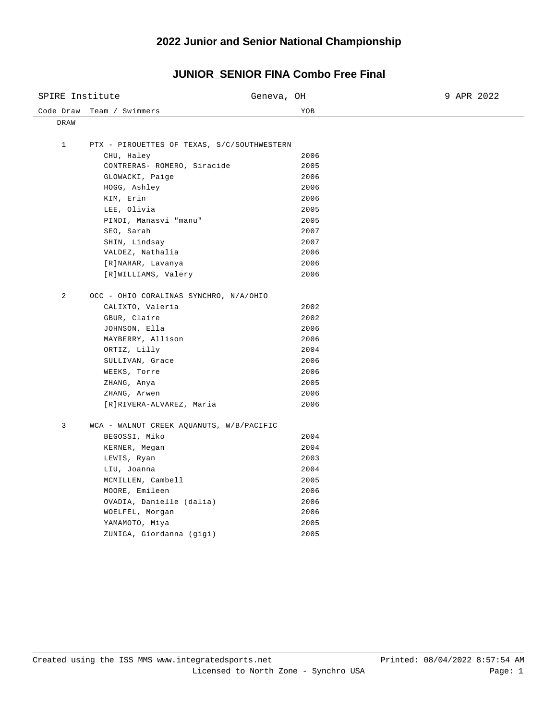### **2022 Junior and Senior National Championship**

### Code Draw Team / Swimmers The Code Draw Team / Swimmers SPIRE Institute Geneva, OH 9 APR 2022 DRAW 1 PTX - PIROUETTES OF TEXAS, S/C/SOUTHWESTERN CHU, Haley 2006 CONTRERAS- ROMERO, Siracide 2005 GLOWACKI, Paige 2006 HOGG, Ashley 2006 KIM, Erin 2006 LEE, Olivia 2005 PINDI, Manasvi "manu" 2005 SEO, Sarah 2007 SHIN, Lindsay 2007 VALDEZ, Nathalia 2006 [R]NAHAR, Lavanya 2006 [R]WILLIAMS, Valery 2006 2 OCC - OHIO CORALINAS SYNCHRO, N/A/OHIO CALIXTO, Valeria 2002 GBUR, Claire 2002 JOHNSON, Ella 2006 MAYBERRY, Allison 2006 ORTIZ, Lilly 2004 SULLIVAN, Grace 2006 WEEKS, Torre 2006 ZHANG, Anya 2005 ZHANG, Arwen 2006 [R]RIVERA-ALVAREZ, Maria 2006 3 WCA - WALNUT CREEK AQUANUTS, W/B/PACIFIC BEGOSSI, Miko 2004 KERNER, Megan 2004 LEWIS, Ryan 2003 LIU, Joanna 2004 MCMILLEN, Cambell 2005 MOORE, Emileen 2006 OVADIA, Danielle (dalia) 2006 WOELFEL, Morgan 2006 YAMAMOTO, Miya 2005 ZUNIGA, Giordanna (gigi) 2005

# **JUNIOR\_SENIOR FINA Combo Free Final**